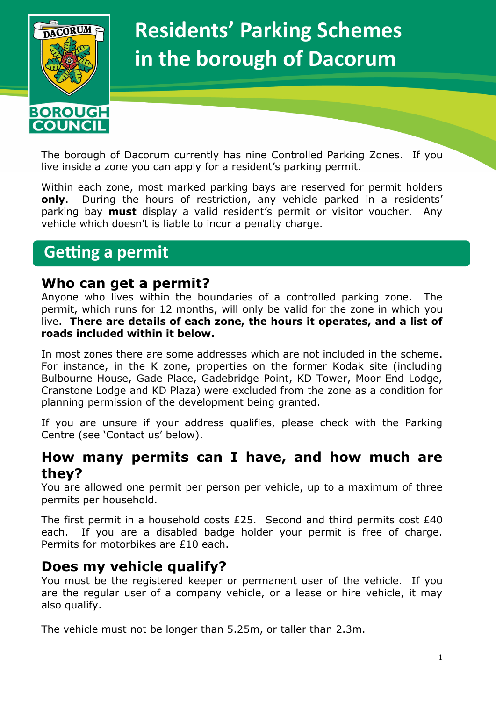

# **Residents' Parking Schemes in the borough of Dacorum**

The borough of Dacorum currently has nine Controlled Parking Zones. If you live inside a zone you can apply for a resident's parking permit.

Within each zone, most marked parking bays are reserved for permit holders **only**. During the hours of restriction, any vehicle parked in a residents' parking bay **must** display a valid resident's permit or visitor voucher. Any vehicle which doesn't is liable to incur a penalty charge.

# **Getting a permit**

#### **Who can get a permit?**

Anyone who lives within the boundaries of a controlled parking zone. The permit, which runs for 12 months, will only be valid for the zone in which you live. **There are details of each zone, the hours it operates, and a list of roads included within it below.**

In most zones there are some addresses which are not included in the scheme. For instance, in the K zone, properties on the former Kodak site (including Bulbourne House, Gade Place, Gadebridge Point, KD Tower, Moor End Lodge, Cranstone Lodge and KD Plaza) were excluded from the zone as a condition for planning permission of the development being granted.

If you are unsure if your address qualifies, please check with the Parking Centre (see 'Contact us' below).

### **How many permits can I have, and how much are they?**

You are allowed one permit per person per vehicle, up to a maximum of three permits per household.

The first permit in a household costs £25. Second and third permits cost £40 each. If you are a disabled badge holder your permit is free of charge. Permits for motorbikes are £10 each.

### **Does my vehicle qualify?**

You must be the registered keeper or permanent user of the vehicle. If you are the regular user of a company vehicle, or a lease or hire vehicle, it may also qualify.

The vehicle must not be longer than 5.25m, or taller than 2.3m.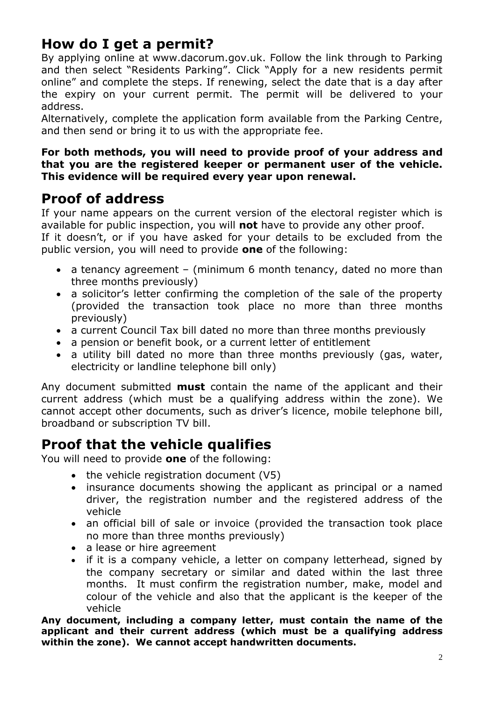# **How do I get a permit?**

By applying online at www.dacorum.gov.uk. Follow the link through to Parking and then select "Residents Parking". Click "Apply for a new residents permit online" and complete the steps. If renewing, select the date that is a day after the expiry on your current permit. The permit will be delivered to your address.

Alternatively, complete the application form available from the Parking Centre, and then send or bring it to us with the appropriate fee.

#### **For both methods, you will need to provide proof of your address and that you are the registered keeper or permanent user of the vehicle. This evidence will be required every year upon renewal.**

### **Proof of address**

If your name appears on the current version of the electoral register which is available for public inspection, you will **not** have to provide any other proof.

If it doesn't, or if you have asked for your details to be excluded from the public version, you will need to provide **one** of the following:

- $\bullet$  a tenancy agreement (minimum 6 month tenancy, dated no more than three months previously)
- a solicitor's letter confirming the completion of the sale of the property (provided the transaction took place no more than three months previously)
- a current Council Tax bill dated no more than three months previously
- a pension or benefit book, or a current letter of entitlement
- a utility bill dated no more than three months previously (gas, water, electricity or landline telephone bill only)

Any document submitted **must** contain the name of the applicant and their current address (which must be a qualifying address within the zone). We cannot accept other documents, such as driver's licence, mobile telephone bill, broadband or subscription TV bill.

### **Proof that the vehicle qualifies**

You will need to provide **one** of the following:

- $\bullet$  the vehicle registration document (V5)
- insurance documents showing the applicant as principal or a named driver, the registration number and the registered address of the vehicle
- an official bill of sale or invoice (provided the transaction took place no more than three months previously)
- a lease or hire agreement
- if it is a company vehicle, a letter on company letterhead, signed by the company secretary or similar and dated within the last three months. It must confirm the registration number, make, model and colour of the vehicle and also that the applicant is the keeper of the vehicle

**Any document, including a company letter, must contain the name of the applicant and their current address (which must be a qualifying address within the zone). We cannot accept handwritten documents.**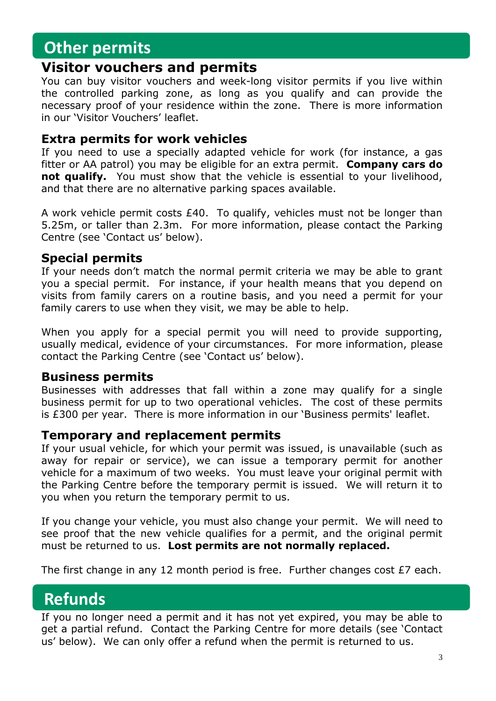# **Other permits**

#### **Visitor vouchers and permits**

You can buy visitor vouchers and week-long visitor permits if you live within the controlled parking zone, as long as you qualify and can provide the necessary proof of your residence within the zone. There is more information in our 'Visitor Vouchers' leaflet.

#### **Extra permits for work vehicles**

If you need to use a specially adapted vehicle for work (for instance, a gas fitter or AA patrol) you may be eligible for an extra permit. **Company cars do not qualify.** You must show that the vehicle is essential to your livelihood, and that there are no alternative parking spaces available.

A work vehicle permit costs £40. To qualify, vehicles must not be longer than 5.25m, or taller than 2.3m. For more information, please contact the Parking Centre (see 'Contact us' below).

#### **Special permits**

If your needs don't match the normal permit criteria we may be able to grant you a special permit. For instance, if your health means that you depend on visits from family carers on a routine basis, and you need a permit for your family carers to use when they visit, we may be able to help.

When you apply for a special permit you will need to provide supporting, usually medical, evidence of your circumstances. For more information, please contact the Parking Centre (see 'Contact us' below).

#### **Business permits**

Businesses with addresses that fall within a zone may qualify for a single business permit for up to two operational vehicles. The cost of these permits is £300 per year. There is more information in our 'Business permits' leaflet.

#### **Temporary and replacement permits**

If your usual vehicle, for which your permit was issued, is unavailable (such as away for repair or service), we can issue a temporary permit for another vehicle for a maximum of two weeks. You must leave your original permit with the Parking Centre before the temporary permit is issued. We will return it to you when you return the temporary permit to us.

If you change your vehicle, you must also change your permit. We will need to see proof that the new vehicle qualifies for a permit, and the original permit must be returned to us. **Lost permits are not normally replaced.** 

The first change in any 12 month period is free. Further changes cost £7 each.

# **Refunds**

If you no longer need a permit and it has not yet expired, you may be able to get a partial refund. Contact the Parking Centre for more details (see 'Contact us' below). We can only offer a refund when the permit is returned to us.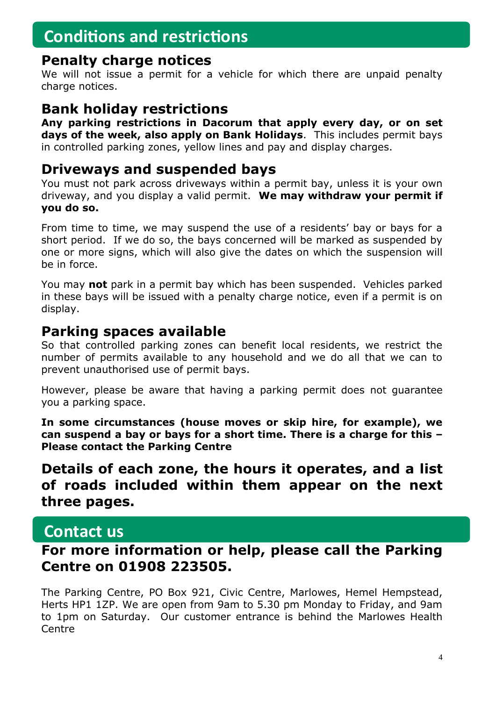# **Conditions and restrictions**

#### **Penalty charge notices**

We will not issue a permit for a vehicle for which there are unpaid penalty charge notices.

### **Bank holiday restrictions**

**Any parking restrictions in Dacorum that apply every day, or on set days of the week, also apply on Bank Holidays**. This includes permit bays in controlled parking zones, yellow lines and pay and display charges.

### **Driveways and suspended bays**

You must not park across driveways within a permit bay, unless it is your own driveway, and you display a valid permit. **We may withdraw your permit if you do so.**

From time to time, we may suspend the use of a residents' bay or bays for a short period. If we do so, the bays concerned will be marked as suspended by one or more signs, which will also give the dates on which the suspension will be in force.

You may **not** park in a permit bay which has been suspended. Vehicles parked in these bays will be issued with a penalty charge notice, even if a permit is on display.

### **Parking spaces available**

So that controlled parking zones can benefit local residents, we restrict the number of permits available to any household and we do all that we can to prevent unauthorised use of permit bays.

However, please be aware that having a parking permit does not guarantee you a parking space.

**In some circumstances (house moves or skip hire, for example), we can suspend a bay or bays for a short time. There is a charge for this – Please contact the Parking Centre**

**Details of each zone, the hours it operates, and a list of roads included within them appear on the next three pages.**

### **Contact us**

### **For more information or help, please call the Parking Centre on 01908 223505.**

The Parking Centre, PO Box 921, Civic Centre, Marlowes, Hemel Hempstead, Herts HP1 1ZP. We are open from 9am to 5.30 pm Monday to Friday, and 9am to 1pm on Saturday. Our customer entrance is behind the Marlowes Health Centre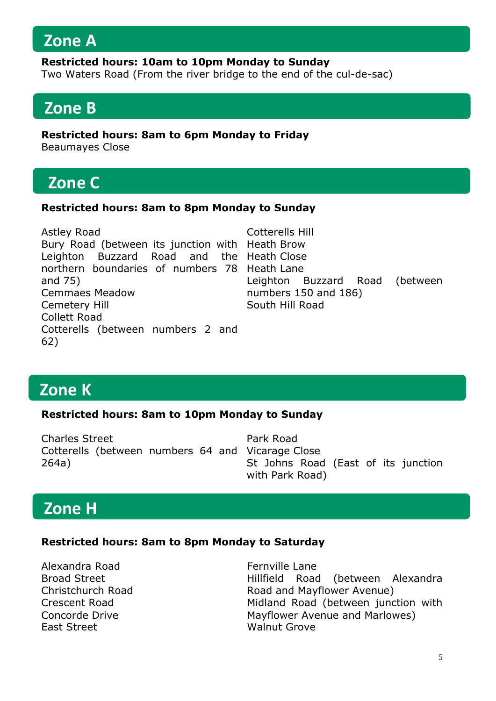### **Zone A**

#### **Restricted hours: 10am to 10pm Monday to Sunday**

Two Waters Road (From the river bridge to the end of the cul-de-sac)

# **Zone B**

**Restricted hours: 8am to 6pm Monday to Friday**

Beaumayes Close

# **Zone C**

#### **Restricted hours: 8am to 8pm Monday to Sunday**

| Astley Road                                     | Cotterells Hill                |
|-------------------------------------------------|--------------------------------|
| Bury Road (between its junction with Heath Brow |                                |
| Leighton Buzzard Road and the Heath Close       |                                |
| northern boundaries of numbers 78 Heath Lane    |                                |
| and $75)$                                       | Leighton Buzzard Road (between |
| <b>Cemmaes Meadow</b>                           | numbers 150 and 186)           |
| Cemetery Hill                                   | South Hill Road                |
| <b>Collett Road</b>                             |                                |
| Cotterells (between numbers 2 and               |                                |
| 62)                                             |                                |

# **Zone K**

#### **Restricted hours: 8am to 10pm Monday to Sunday**

Charles Street Cotterells (between numbers 64 and Vicarage Close 264a) Park Road St Johns Road (East of its junction with Park Road)

# **Zone H**

#### **Restricted hours: 8am to 8pm Monday to Saturday**

Alexandra Road Broad Street Christchurch Road Crescent Road Concorde Drive East Street

Fernville Lane Hillfield Road (between Alexandra Road and Mayflower Avenue) Midland Road (between junction with Mayflower Avenue and Marlowes) Walnut Grove